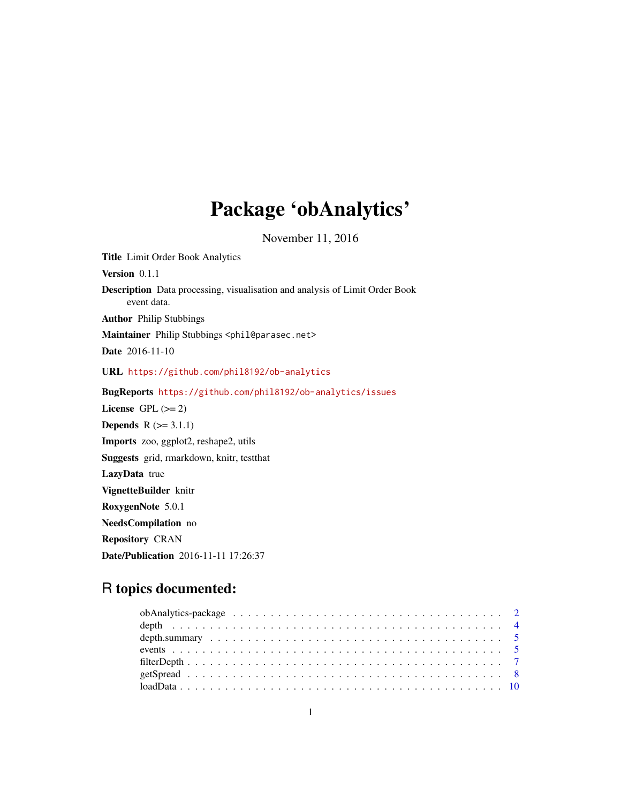## Package 'obAnalytics'

November 11, 2016

<span id="page-0-0"></span>Title Limit Order Book Analytics Version 0.1.1 Description Data processing, visualisation and analysis of Limit Order Book event data. Author Philip Stubbings Maintainer Philip Stubbings <phil@parasec.net> Date 2016-11-10 URL <https://github.com/phil8192/ob-analytics> BugReports <https://github.com/phil8192/ob-analytics/issues> License GPL  $(>= 2)$ **Depends**  $R (= 3.1.1)$ Imports zoo, ggplot2, reshape2, utils Suggests grid, rmarkdown, knitr, testthat LazyData true VignetteBuilder knitr RoxygenNote 5.0.1 NeedsCompilation no Repository CRAN Date/Publication 2016-11-11 17:26:37

## R topics documented: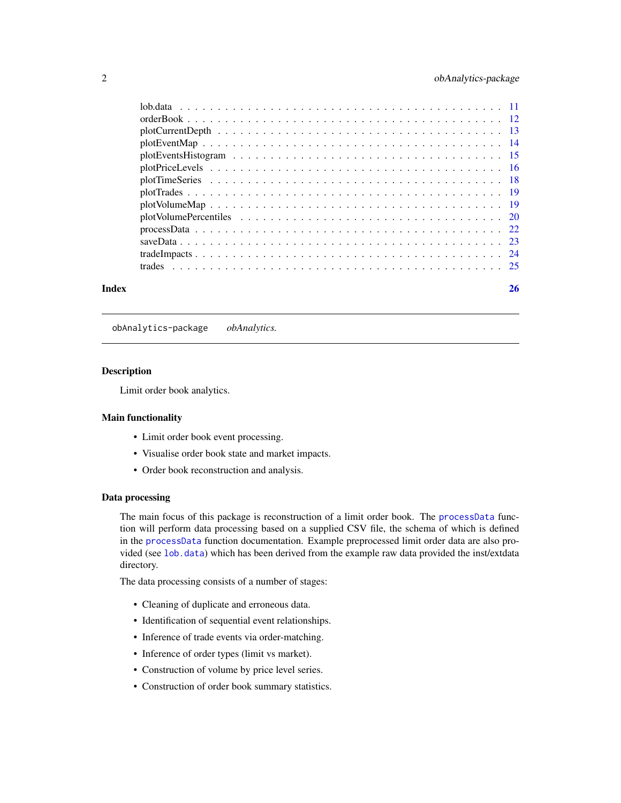<span id="page-1-0"></span>

#### **Index** [26](#page-25-0)

obAnalytics-package *obAnalytics.*

#### Description

Limit order book analytics.

## Main functionality

- Limit order book event processing.
- Visualise order book state and market impacts.
- Order book reconstruction and analysis.

#### Data processing

The main focus of this package is reconstruction of a limit order book. The [processData](#page-21-1) function will perform data processing based on a supplied CSV file, the schema of which is defined in the [processData](#page-21-1) function documentation. Example preprocessed limit order data are also provided (see [lob.data](#page-10-1)) which has been derived from the example raw data provided the inst/extdata directory.

The data processing consists of a number of stages:

- Cleaning of duplicate and erroneous data.
- Identification of sequential event relationships.
- Inference of trade events via order-matching.
- Inference of order types (limit vs market).
- Construction of volume by price level series.
- Construction of order book summary statistics.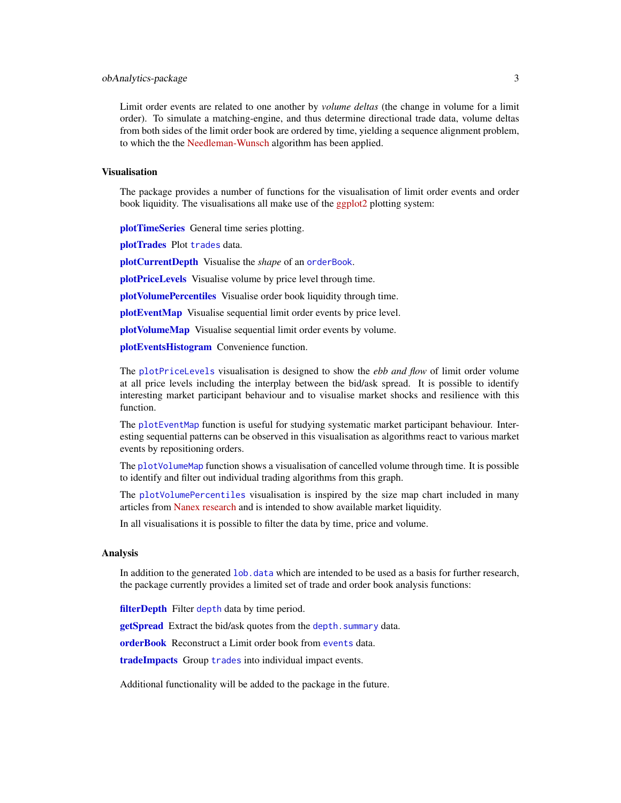## <span id="page-2-0"></span>obAnalytics-package 3

Limit order events are related to one another by *volume deltas* (the change in volume for a limit order). To simulate a matching-engine, and thus determine directional trade data, volume deltas from both sides of the limit order book are ordered by time, yielding a sequence alignment problem, to which the the [Needleman-Wunsch](https://en.wikipedia.org/wiki/Needleman-Wunsch_algorithm) algorithm has been applied.

## Visualisation

The package provides a number of functions for the visualisation of limit order events and order book liquidity. The visualisations all make use of the [ggplot2](http://ggplot2.org) plotting system:

[plotTimeSeries](#page-17-1) General time series plotting.

[plotTrades](#page-18-1) Plot [trades](#page-24-1) data.

[plotCurrentDepth](#page-12-1) Visualise the *shape* of an [orderBook](#page-11-1).

**[plotPriceLevels](#page-15-1)** Visualise volume by price level through time.

[plotVolumePercentiles](#page-19-1) Visualise order book liquidity through time.

[plotEventMap](#page-13-1) Visualise sequential limit order events by price level.

[plotVolumeMap](#page-18-2) Visualise sequential limit order events by volume.

[plotEventsHistogram](#page-14-1) Convenience function.

The [plotPriceLevels](#page-15-1) visualisation is designed to show the *ebb and flow* of limit order volume at all price levels including the interplay between the bid/ask spread. It is possible to identify interesting market participant behaviour and to visualise market shocks and resilience with this function.

The [plotEventMap](#page-13-1) function is useful for studying systematic market participant behaviour. Interesting sequential patterns can be observed in this visualisation as algorithms react to various market events by repositioning orders.

The [plotVolumeMap](#page-18-2) function shows a visualisation of cancelled volume through time. It is possible to identify and filter out individual trading algorithms from this graph.

The [plotVolumePercentiles](#page-19-1) visualisation is inspired by the size map chart included in many articles from [Nanex research](http://www.nanex.net/NxResearch) and is intended to show available market liquidity.

In all visualisations it is possible to filter the data by time, price and volume.

#### Analysis

In addition to the generated lob. data which are intended to be used as a basis for further research, the package currently provides a limited set of trade and order book analysis functions:

[filterDepth](#page-6-1) Filter [depth](#page-3-1) data by time period.

[getSpread](#page-7-1) Extract the bid/ask quotes from the depth. summary data.

[orderBook](#page-11-1) Reconstruct a Limit order book from [events](#page-4-2) data.

[tradeImpacts](#page-23-1) Group [trades](#page-24-1) into individual impact events.

Additional functionality will be added to the package in the future.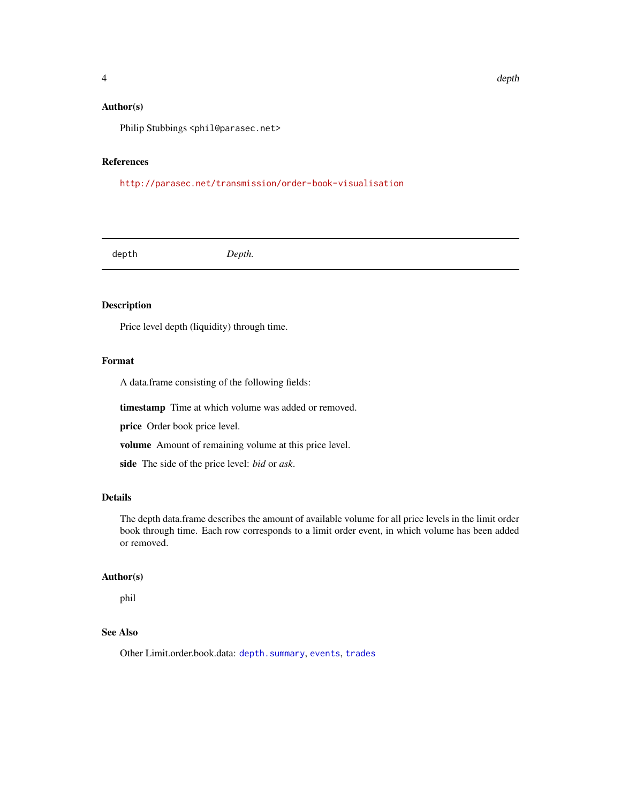<span id="page-3-0"></span>Philip Stubbings <phil@parasec.net>

## References

<http://parasec.net/transmission/order-book-visualisation>

<span id="page-3-1"></span>depth *Depth.*

#### Description

Price level depth (liquidity) through time.

#### Format

A data.frame consisting of the following fields:

timestamp Time at which volume was added or removed.

price Order book price level.

volume Amount of remaining volume at this price level.

side The side of the price level: *bid* or *ask*.

## Details

The depth data.frame describes the amount of available volume for all price levels in the limit order book through time. Each row corresponds to a limit order event, in which volume has been added or removed.

#### Author(s)

phil

## See Also

Other Limit.order.book.data: [depth.summary](#page-4-1), [events](#page-4-2), [trades](#page-24-1)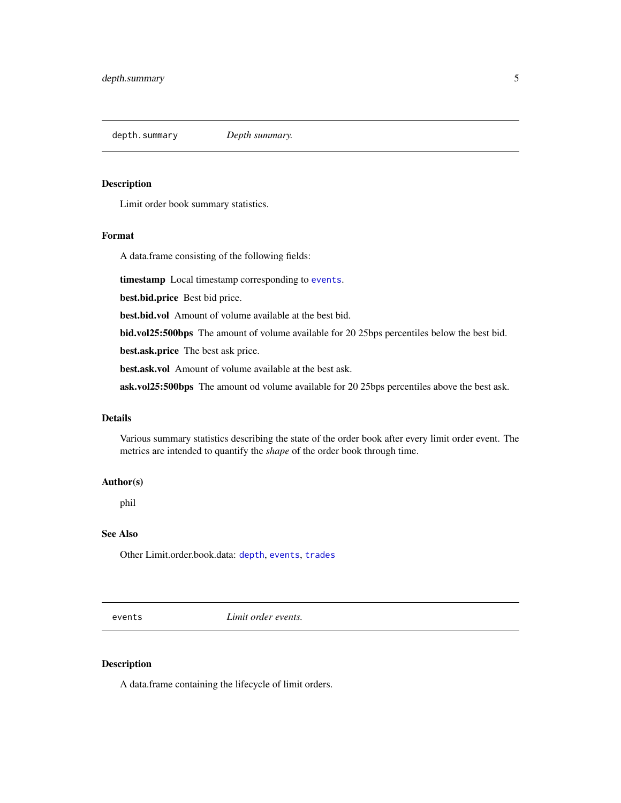<span id="page-4-1"></span><span id="page-4-0"></span>depth.summary *Depth summary.*

## Description

Limit order book summary statistics.

#### Format

A data.frame consisting of the following fields:

timestamp Local timestamp corresponding to [events](#page-4-2).

best.bid.price Best bid price.

best.bid.vol Amount of volume available at the best bid.

bid.vol25:500bps The amount of volume available for 20 25bps percentiles below the best bid.

best.ask.price The best ask price.

best.ask.vol Amount of volume available at the best ask.

ask.vol25:500bps The amount od volume available for 20 25bps percentiles above the best ask.

#### Details

Various summary statistics describing the state of the order book after every limit order event. The metrics are intended to quantify the *shape* of the order book through time.

#### Author(s)

phil

## See Also

Other Limit.order.book.data: [depth](#page-3-1), [events](#page-4-2), [trades](#page-24-1)

<span id="page-4-2"></span>events *Limit order events.*

## Description

A data.frame containing the lifecycle of limit orders.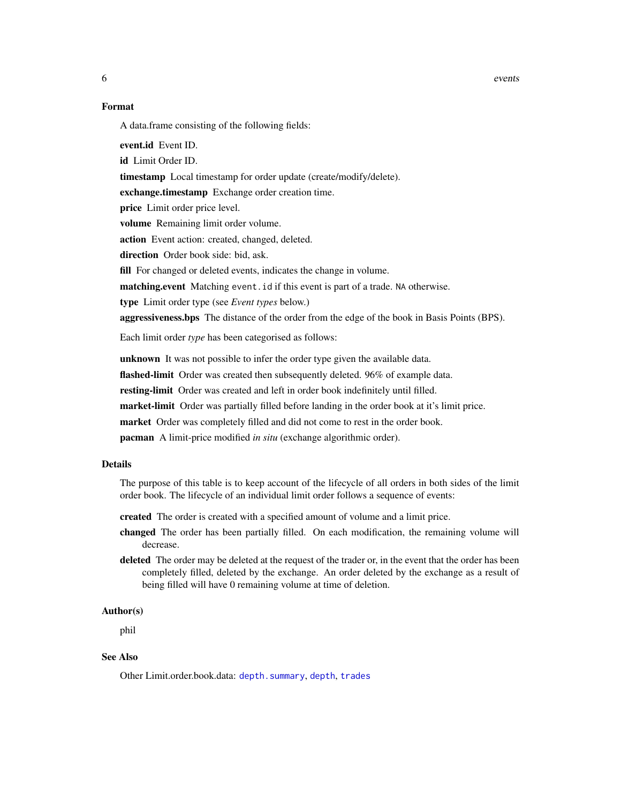<span id="page-5-0"></span>6 events and the contract of the contract of the contract of the contract of the contract of the contract of the contract of the contract of the contract of the contract of the contract of the contract of the contract of t

#### Format

A data.frame consisting of the following fields:

event.id Event ID. id Limit Order ID. timestamp Local timestamp for order update (create/modify/delete). exchange.timestamp Exchange order creation time. price Limit order price level. volume Remaining limit order volume. action Event action: created, changed, deleted. direction Order book side: bid, ask. fill For changed or deleted events, indicates the change in volume. matching.event Matching event.id if this event is part of a trade. NA otherwise. type Limit order type (see *Event types* below.) aggressiveness.bps The distance of the order from the edge of the book in Basis Points (BPS). Each limit order *type* has been categorised as follows: unknown It was not possible to infer the order type given the available data. flashed-limit Order was created then subsequently deleted. 96% of example data.

resting-limit Order was created and left in order book indefinitely until filled.

market-limit Order was partially filled before landing in the order book at it's limit price.

market Order was completely filled and did not come to rest in the order book.

pacman A limit-price modified *in situ* (exchange algorithmic order).

#### Details

The purpose of this table is to keep account of the lifecycle of all orders in both sides of the limit order book. The lifecycle of an individual limit order follows a sequence of events:

created The order is created with a specified amount of volume and a limit price.

- changed The order has been partially filled. On each modification, the remaining volume will decrease.
- deleted The order may be deleted at the request of the trader or, in the event that the order has been completely filled, deleted by the exchange. An order deleted by the exchange as a result of being filled will have 0 remaining volume at time of deletion.

#### Author(s)

phil

## See Also

Other Limit.order.book.data: [depth.summary](#page-4-1), [depth](#page-3-1), [trades](#page-24-1)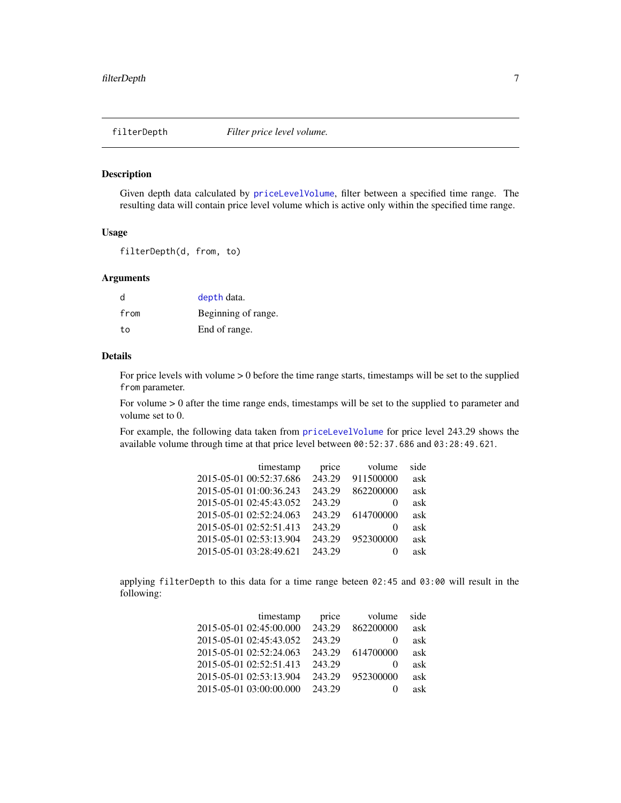<span id="page-6-1"></span><span id="page-6-0"></span>

## Description

Given depth data calculated by [priceLevelVolume](#page-0-0), filter between a specified time range. The resulting data will contain price level volume which is active only within the specified time range.

#### Usage

filterDepth(d, from, to)

## Arguments

| d    | depth data.         |
|------|---------------------|
| from | Beginning of range. |
| tο   | End of range.       |

## Details

For price levels with volume > 0 before the time range starts, timestamps will be set to the supplied from parameter.

For volume  $> 0$  after the time range ends, timestamps will be set to the supplied to parameter and volume set to 0.

For example, the following data taken from [priceLevelVolume](#page-0-0) for price level 243.29 shows the available volume through time at that price level between 00:52:37.686 and 03:28:49.621.

| side | volume    | price  | timestamp               |
|------|-----------|--------|-------------------------|
| ask  | 911500000 | 243.29 | 2015-05-01 00:52:37.686 |
| ask  | 862200000 | 243.29 | 2015-05-01 01:00:36.243 |
| ask  | $\theta$  | 243.29 | 2015-05-01 02:45:43.052 |
| ask  | 614700000 | 243.29 | 2015-05-01 02:52:24.063 |
| ask  | $\Omega$  | 243.29 | 2015-05-01 02:52:51.413 |
| ask  | 952300000 | 243.29 | 2015-05-01 02:53:13.904 |
| ask  | $\theta$  | 243.29 | 2015-05-01 03:28:49.621 |
|      |           |        |                         |

applying filterDepth to this data for a time range beteen 02:45 and 03:00 will result in the following:

| timestamp               | price  | volume       | side |
|-------------------------|--------|--------------|------|
| 2015-05-01 02:45:00.000 | 243.29 | 862200000    | ask  |
| 2015-05-01 02:45:43.052 | 243.29 | $\theta$     | ask  |
| 2015-05-01 02:52:24.063 | 243.29 | 614700000    | ask  |
| 2015-05-01 02:52:51.413 | 243.29 | $\theta$     | ask  |
| 2015-05-01 02:53:13.904 | 243.29 | 952300000    | ask  |
| 2015-05-01 03:00:00.000 | 243.29 | $\mathbf{0}$ | ask  |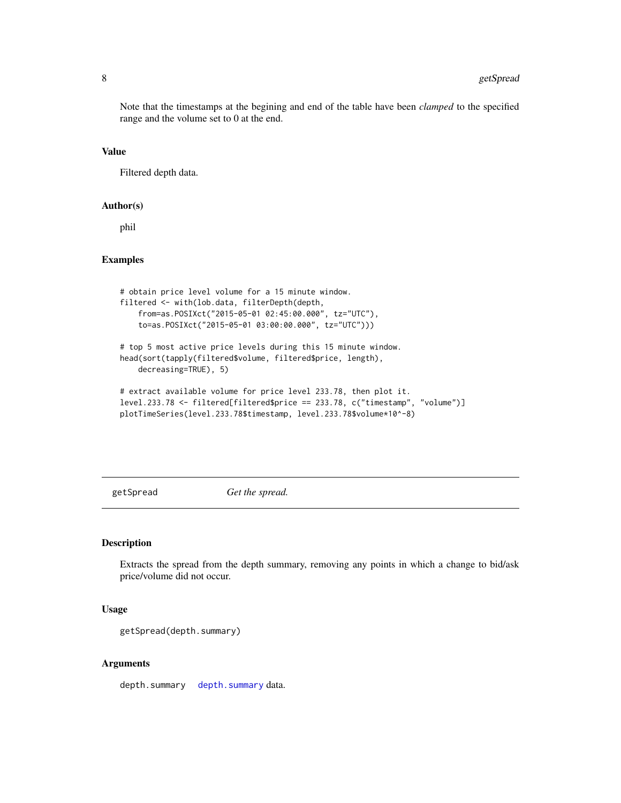Note that the timestamps at the begining and end of the table have been *clamped* to the specified range and the volume set to 0 at the end.

#### Value

Filtered depth data.

#### Author(s)

phil

## Examples

```
# obtain price level volume for a 15 minute window.
filtered <- with(lob.data, filterDepth(depth,
    from=as.POSIXct("2015-05-01 02:45:00.000", tz="UTC"),
   to=as.POSIXct("2015-05-01 03:00:00.000", tz="UTC")))
# top 5 most active price levels during this 15 minute window.
head(sort(tapply(filtered$volume, filtered$price, length),
    decreasing=TRUE), 5)
# extract available volume for price level 233.78, then plot it.
```

```
level.233.78 <- filtered[filtered$price == 233.78, c("timestamp", "volume")]
plotTimeSeries(level.233.78$timestamp, level.233.78$volume*10^-8)
```
<span id="page-7-1"></span>getSpread *Get the spread.*

#### Description

Extracts the spread from the depth summary, removing any points in which a change to bid/ask price/volume did not occur.

#### Usage

```
getSpread(depth.summary)
```
## Arguments

[depth.summary](#page-4-1) depth.summary data.

<span id="page-7-0"></span>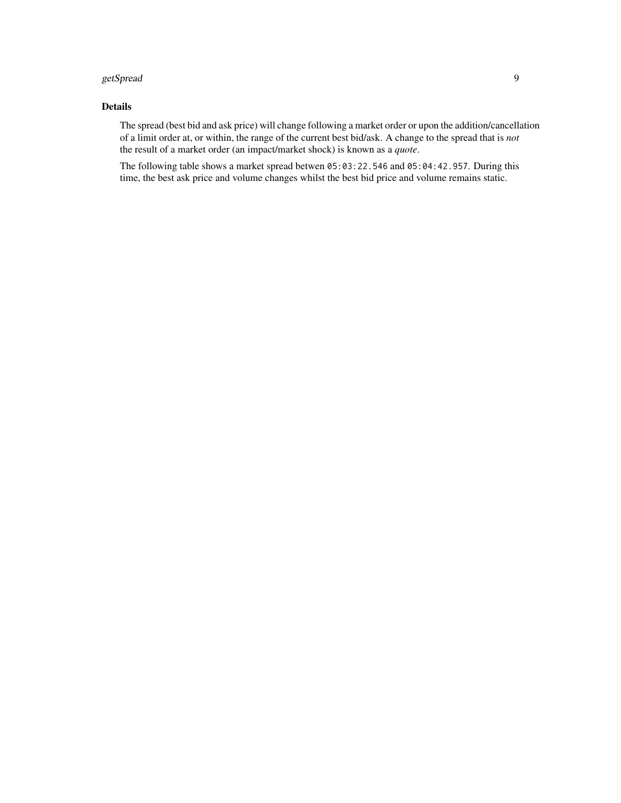#### getSpread 99 and 2008 and 2008 and 2008 and 2008 and 2008 and 2008 and 2008 and 2008 and 2008 and 2008 and 200

## Details

The spread (best bid and ask price) will change following a market order or upon the addition/cancellation of a limit order at, or within, the range of the current best bid/ask. A change to the spread that is *not* the result of a market order (an impact/market shock) is known as a *quote*.

The following table shows a market spread betwen 05:03:22.546 and 05:04:42.957. During this time, the best ask price and volume changes whilst the best bid price and volume remains static.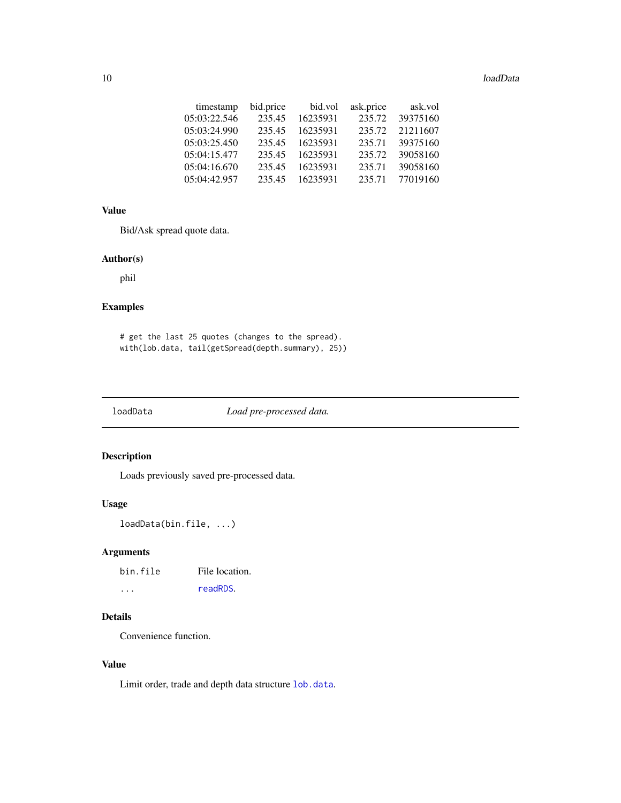#### <span id="page-9-0"></span>10 loadData and the contract of the contract of the contract of the contract of the contract of the contract of the contract of the contract of the contract of the contract of the contract of the contract of the contract o

| timestamp    | bid.price | bid.vol  | ask.price | ask.vol  |
|--------------|-----------|----------|-----------|----------|
| 05:03:22.546 | 235.45    | 16235931 | 235.72    | 39375160 |
| 05:03:24.990 | 235.45    | 16235931 | 235.72    | 21211607 |
| 05:03:25.450 | 235.45    | 16235931 | 235.71    | 39375160 |
| 05:04:15.477 | 235.45    | 16235931 | 235.72    | 39058160 |
| 05:04:16.670 | 235.45    | 16235931 | 235.71    | 39058160 |
| 05:04:42.957 | 235.45    | 16235931 | 235.71    | 77019160 |

#### Value

Bid/Ask spread quote data.

#### Author(s)

phil

## Examples

# get the last 25 quotes (changes to the spread). with(lob.data, tail(getSpread(depth.summary), 25))

loadData *Load pre-processed data.*

## Description

Loads previously saved pre-processed data.

## Usage

loadData(bin.file, ...)

## Arguments

| bin.file | File location. |
|----------|----------------|
| $\cdot$  | readRDS.       |

## Details

Convenience function.

## Value

Limit order, trade and depth data structure [lob.data](#page-10-1).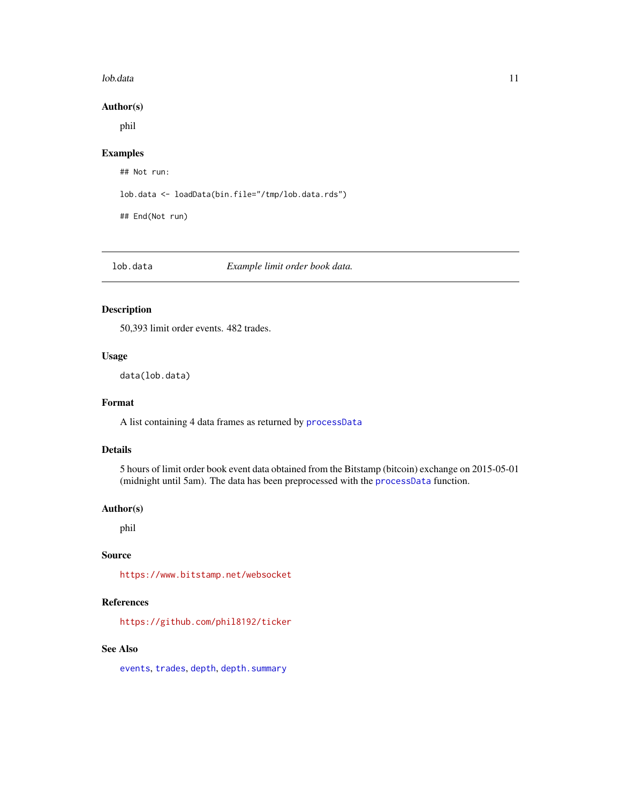#### <span id="page-10-0"></span>lob.data 11

## Author(s)

phil

## Examples

## Not run:

lob.data <- loadData(bin.file="/tmp/lob.data.rds")

## End(Not run)

<span id="page-10-1"></span>lob.data *Example limit order book data.*

## Description

50,393 limit order events. 482 trades.

## Usage

data(lob.data)

#### Format

A list containing 4 data frames as returned by [processData](#page-21-1)

## Details

5 hours of limit order book event data obtained from the Bitstamp (bitcoin) exchange on 2015-05-01 (midnight until 5am). The data has been preprocessed with the [processData](#page-21-1) function.

#### Author(s)

phil

## Source

<https://www.bitstamp.net/websocket>

## References

<https://github.com/phil8192/ticker>

## See Also

[events](#page-4-2), [trades](#page-24-1), [depth](#page-3-1), [depth.summary](#page-4-1)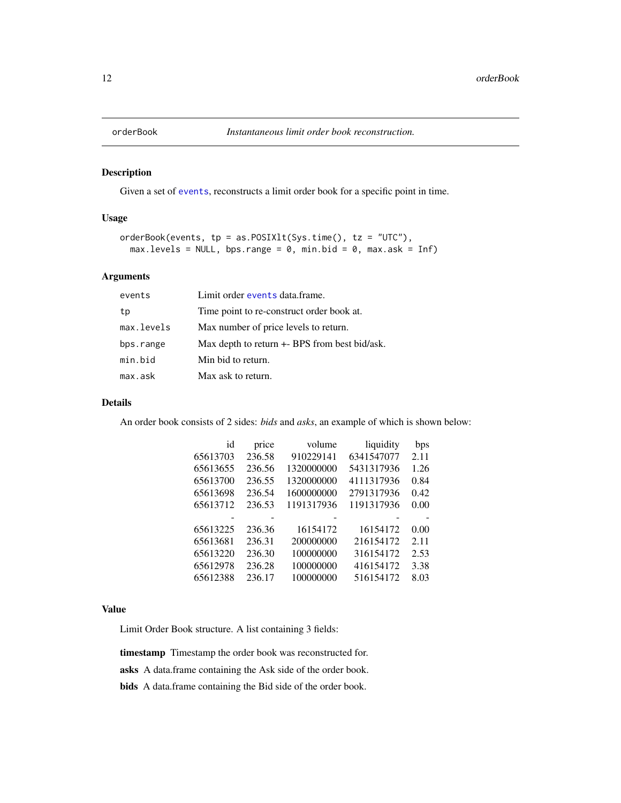<span id="page-11-1"></span><span id="page-11-0"></span>

## Description

Given a set of [events](#page-4-2), reconstructs a limit order book for a specific point in time.

## Usage

```
orderBook(events, tp = as.POSIXlt(Sys.time(), tz = "UTC"),
 max. levels = NULL, bps.random = 0, min.bid = 0, max.ask = Inf)
```
## Arguments

| events     | Limit order events data.frame.                |
|------------|-----------------------------------------------|
| tp         | Time point to re-construct order book at.     |
| max.levels | Max number of price levels to return.         |
| bps.range  | Max depth to return +- BPS from best bid/ask. |
| min.bid    | Min bid to return.                            |
| max.ask    | Max ask to return.                            |

#### Details

An order book consists of 2 sides: *bids* and *asks*, an example of which is shown below:

| id       | price  | volume     | liquidity  | bps  |
|----------|--------|------------|------------|------|
| 65613703 | 236.58 | 910229141  | 6341547077 | 2.11 |
| 65613655 | 236.56 | 1320000000 | 5431317936 | 1.26 |
| 65613700 | 236.55 | 1320000000 | 4111317936 | 0.84 |
| 65613698 | 236.54 | 1600000000 | 2791317936 | 0.42 |
| 65613712 | 236.53 | 1191317936 | 1191317936 | 0.00 |
|          |        |            |            |      |
| 65613225 | 236.36 | 16154172   | 16154172   | 0.00 |
| 65613681 | 236.31 | 200000000  | 216154172  | 2.11 |
| 65613220 | 236.30 | 100000000  | 316154172  | 2.53 |
| 65612978 | 236.28 | 100000000  | 416154172  | 3.38 |
| 65612388 | 236.17 | 100000000  | 516154172  | 8.03 |

#### Value

Limit Order Book structure. A list containing 3 fields:

timestamp Timestamp the order book was reconstructed for.

asks A data.frame containing the Ask side of the order book.

bids A data.frame containing the Bid side of the order book.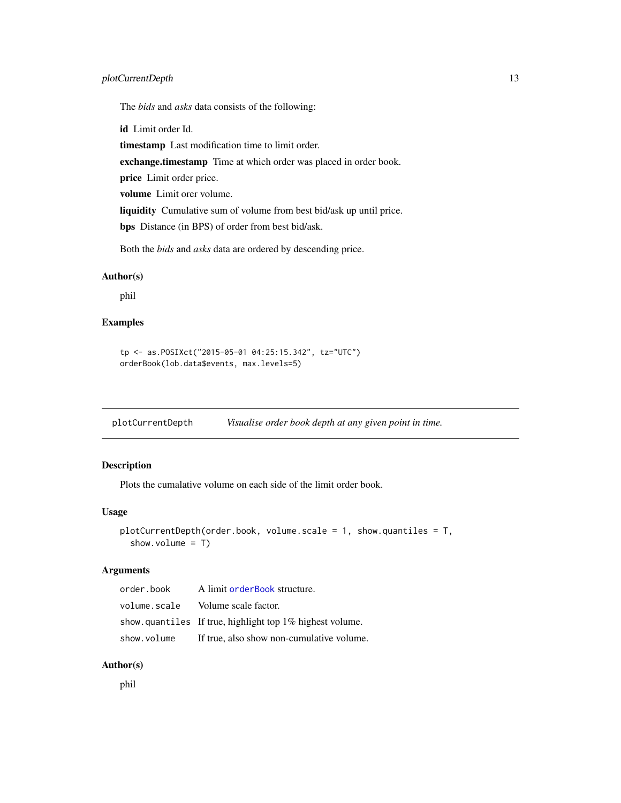## <span id="page-12-0"></span>plotCurrentDepth 13

The *bids* and *asks* data consists of the following:

id Limit order Id.

timestamp Last modification time to limit order.

exchange.timestamp Time at which order was placed in order book.

price Limit order price.

volume Limit orer volume.

liquidity Cumulative sum of volume from best bid/ask up until price.

bps Distance (in BPS) of order from best bid/ask.

Both the *bids* and *asks* data are ordered by descending price.

#### Author(s)

phil

## Examples

```
tp <- as.POSIXct("2015-05-01 04:25:15.342", tz="UTC")
orderBook(lob.data$events, max.levels=5)
```
<span id="page-12-1"></span>plotCurrentDepth *Visualise order book depth at any given point in time.*

#### Description

Plots the cumalative volume on each side of the limit order book.

#### Usage

```
plotCurrentDepth(order.book, volume.scale = 1, show.quantiles = T,
  show.volume = T)
```
#### Arguments

| order.book   | A limit order Book structure.                            |
|--------------|----------------------------------------------------------|
| volume.scale | Volume scale factor.                                     |
|              | show quantiles If true, highlight top 1% highest volume. |
| show.volume  | If true, also show non-cumulative volume.                |

## Author(s)

phil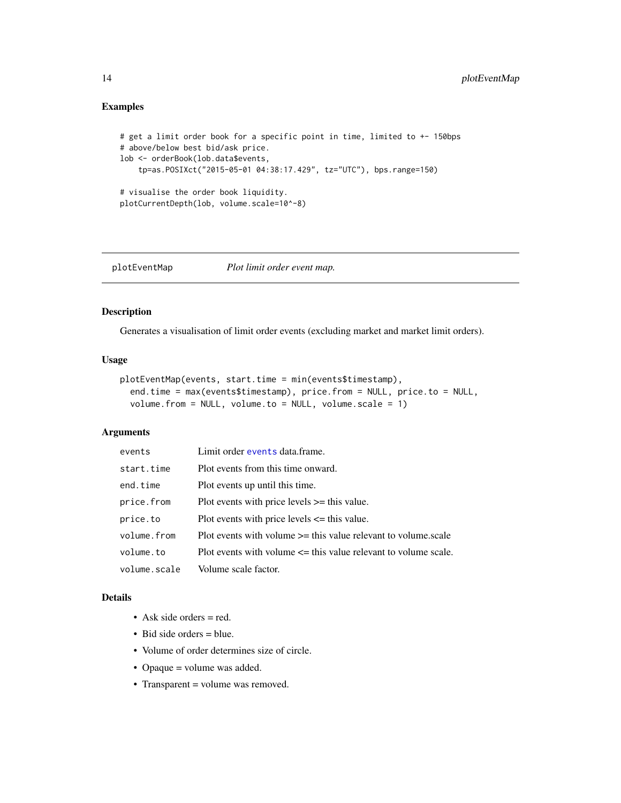## Examples

```
# get a limit order book for a specific point in time, limited to +- 150bps
# above/below best bid/ask price.
lob <- orderBook(lob.data$events,
    tp=as.POSIXct("2015-05-01 04:38:17.429", tz="UTC"), bps.range=150)
# visualise the order book liquidity.
plotCurrentDepth(lob, volume.scale=10^-8)
```
<span id="page-13-1"></span>plotEventMap *Plot limit order event map.*

## Description

Generates a visualisation of limit order events (excluding market and market limit orders).

#### Usage

```
plotEventMap(events, start.time = min(events$timestamp),
  end.time = max(events$timestamp), price.from = NULL, price.to = NULL,
  volume.from = NULL, volume.to = NULL, volume.scale = 1)
```
#### Arguments

| events       | Limit order events data.frame.                                      |
|--------------|---------------------------------------------------------------------|
| start.time   | Plot events from this time onward.                                  |
| end.time     | Plot events up until this time.                                     |
| price.from   | Plot events with price levels $\ge$ this value.                     |
| price.to     | Plot events with price levels $\leq$ this value.                    |
| volume.from  | Plot events with volume $\ge$ = this value relevant to volume.scale |
| volume.to    | Plot events with volume $\leq$ this value relevant to volume scale. |
| volume.scale | Volume scale factor.                                                |

## Details

- Ask side orders = red.
- Bid side orders = blue.
- Volume of order determines size of circle.
- Opaque = volume was added.
- Transparent = volume was removed.

<span id="page-13-0"></span>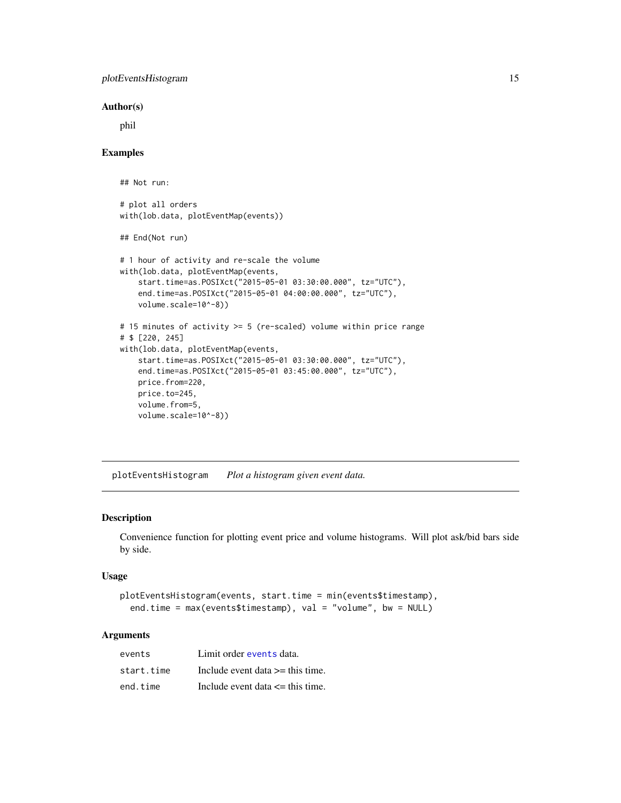## <span id="page-14-0"></span>plotEventsHistogram 15

#### Author(s)

phil

#### Examples

## Not run:

# plot all orders with(lob.data, plotEventMap(events))

## End(Not run)

```
# 1 hour of activity and re-scale the volume
with(lob.data, plotEventMap(events,
    start.time=as.POSIXct("2015-05-01 03:30:00.000", tz="UTC"),
    end.time=as.POSIXct("2015-05-01 04:00:00.000", tz="UTC"),
    volume.scale=10^-8))
# 15 minutes of activity >= 5 (re-scaled) volume within price range
# $ [220, 245]
with(lob.data, plotEventMap(events,
    start.time=as.POSIXct("2015-05-01 03:30:00.000", tz="UTC"),
   end.time=as.POSIXct("2015-05-01 03:45:00.000", tz="UTC"),
   price.from=220,
   price.to=245,
   volume.from=5,
    volume.scale=10^-8))
```
<span id="page-14-1"></span>plotEventsHistogram *Plot a histogram given event data.*

## Description

Convenience function for plotting event price and volume histograms. Will plot ask/bid bars side by side.

#### Usage

```
plotEventsHistogram(events, start.time = min(events$timestamp),
  end.time = max(events$timestamp), val = "volume", bw = NULL)
```
## Arguments

| events     | Limit order events data.             |
|------------|--------------------------------------|
| start.time | Include event data $\geq$ this time. |
| end.time   | Include event data $\leq$ this time. |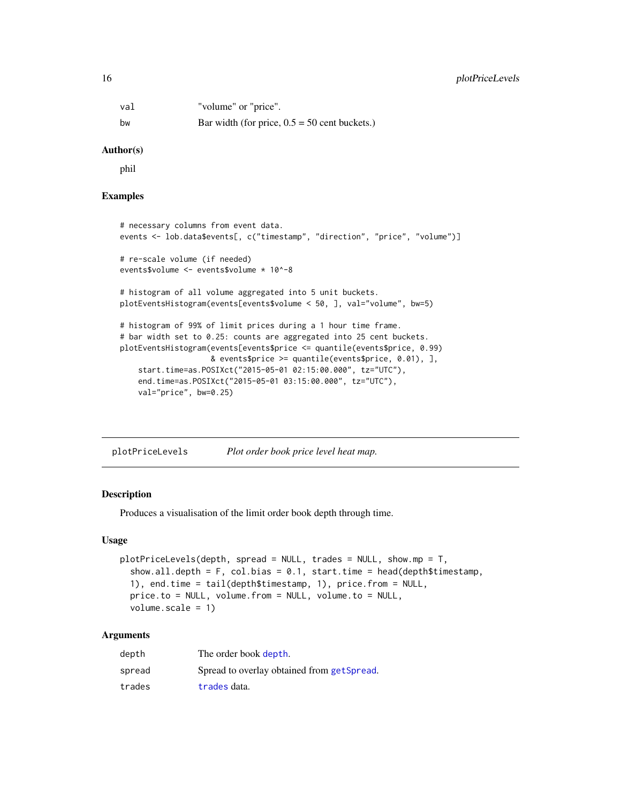## <span id="page-15-0"></span>16 plotPriceLevels

| val | "volume" or "price".                            |
|-----|-------------------------------------------------|
| bw  | Bar width (for price, $0.5 = 50$ cent buckets.) |

#### Author(s)

phil

## Examples

```
# necessary columns from event data.
events <- lob.data$events[, c("timestamp", "direction", "price", "volume")]
# re-scale volume (if needed)
events$volume <- events$volume * 10^-8
# histogram of all volume aggregated into 5 unit buckets.
plotEventsHistogram(events[events$volume < 50, ], val="volume", bw=5)
# histogram of 99% of limit prices during a 1 hour time frame.
# bar width set to 0.25: counts are aggregated into 25 cent buckets.
plotEventsHistogram(events[events$price <= quantile(events$price, 0.99)
                    & events$price >= quantile(events$price, 0.01), ],
    start.time=as.POSIXct("2015-05-01 02:15:00.000", tz="UTC"),
   end.time=as.POSIXct("2015-05-01 03:15:00.000", tz="UTC"),
   val="price", bw=0.25)
```
<span id="page-15-1"></span>plotPriceLevels *Plot order book price level heat map.*

## Description

Produces a visualisation of the limit order book depth through time.

#### Usage

```
plotPriceLevels(depth, spread = NULL, trades = NULL, show.mp = T,
  show.all.depth = F, col.bias = 0.1, start.time = head(depth$timestamp,
  1), end.time = tail(depth$timestamp, 1), price.from = NULL,
 price.to = NULL, volume.from = NULL, volume.to = NULL,
 volume.scale = 1)
```
## Arguments

| depth  | The order book depth.                      |
|--------|--------------------------------------------|
| spread | Spread to overlay obtained from getSpread. |
| trades | trades data.                               |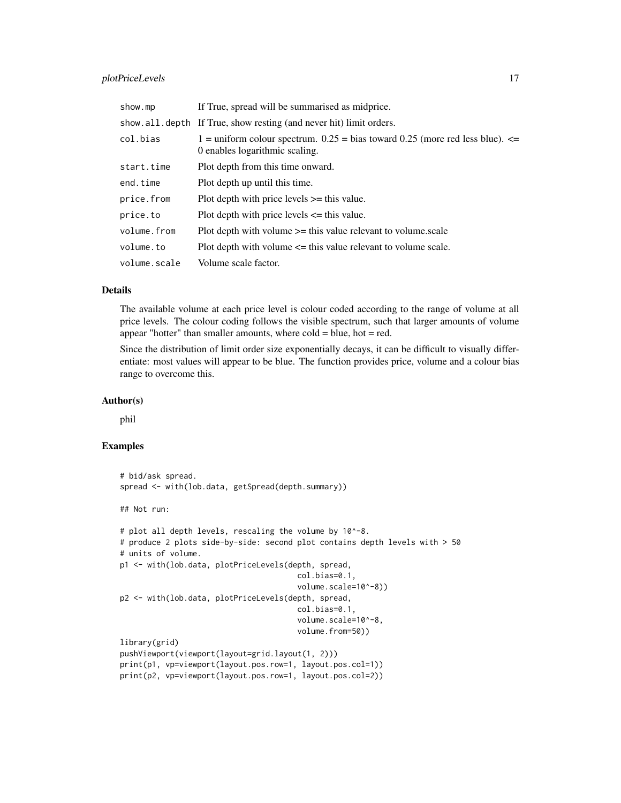## plotPriceLevels 17

| show.mp      | If True, spread will be summarised as midprice.                                                                      |  |
|--------------|----------------------------------------------------------------------------------------------------------------------|--|
|              | show.all.depth If True, show resting (and never hit) limit orders.                                                   |  |
| col.bias     | 1 = uniform colour spectrum. $0.25$ = bias toward 0.25 (more red less blue). $\le$<br>0 enables logarithmic scaling. |  |
| start.time   | Plot depth from this time onward.                                                                                    |  |
| end.time     | Plot depth up until this time.                                                                                       |  |
| price.from   | Plot depth with price levels $\ge$ this value.                                                                       |  |
| price.to     | Plot depth with price levels $\leq$ this value.                                                                      |  |
| volume.from  | Plot depth with volume $\ge$ this value relevant to volume.scale                                                     |  |
| volume.to    | Plot depth with volume $\leq$ this value relevant to volume scale.                                                   |  |
| volume.scale | Volume scale factor.                                                                                                 |  |

## Details

The available volume at each price level is colour coded according to the range of volume at all price levels. The colour coding follows the visible spectrum, such that larger amounts of volume appear "hotter" than smaller amounts, where cold = blue, hot = red.

Since the distribution of limit order size exponentially decays, it can be difficult to visually differentiate: most values will appear to be blue. The function provides price, volume and a colour bias range to overcome this.

#### Author(s)

phil

## Examples

```
# bid/ask spread.
spread <- with(lob.data, getSpread(depth.summary))
## Not run:
# plot all depth levels, rescaling the volume by 10^-8.
# produce 2 plots side-by-side: second plot contains depth levels with > 50
# units of volume.
p1 <- with(lob.data, plotPriceLevels(depth, spread,
                                       col.bias=0.1,
                                       volume.scale=10^-8))
p2 <- with(lob.data, plotPriceLevels(depth, spread,
                                       col.bias=0.1,
                                       volume.scale=10^-8,
                                       volume.from=50))
library(grid)
pushViewport(viewport(layout=grid.layout(1, 2)))
print(p1, vp=viewport(layout.pos.row=1, layout.pos.col=1))
print(p2, vp=viewport(layout.pos.row=1, layout.pos.col=2))
```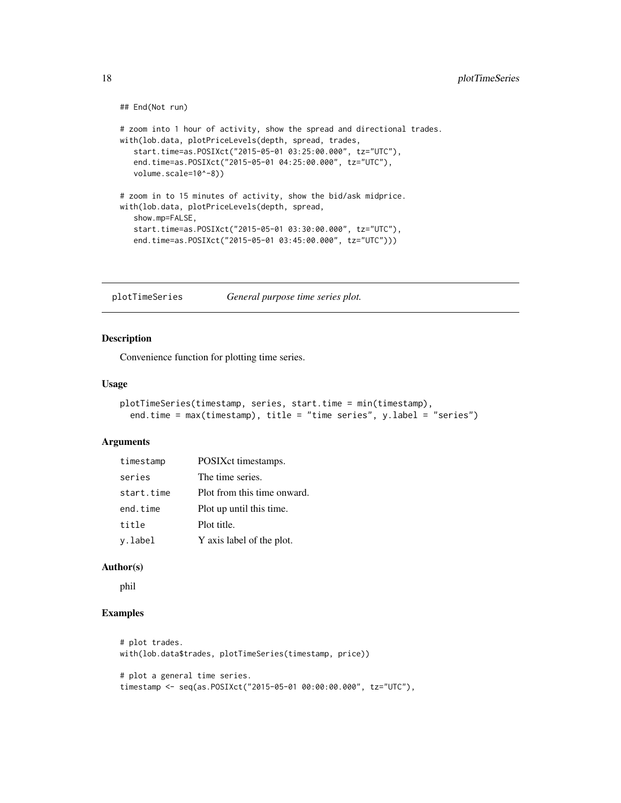```
## End(Not run)
# zoom into 1 hour of activity, show the spread and directional trades.
with(lob.data, plotPriceLevels(depth, spread, trades,
   start.time=as.POSIXct("2015-05-01 03:25:00.000", tz="UTC"),
   end.time=as.POSIXct("2015-05-01 04:25:00.000", tz="UTC"),
   volume.scale=10^-8))
# zoom in to 15 minutes of activity, show the bid/ask midprice.
with(lob.data, plotPriceLevels(depth, spread,
   show.mp=FALSE,
   start.time=as.POSIXct("2015-05-01 03:30:00.000", tz="UTC"),
   end.time=as.POSIXct("2015-05-01 03:45:00.000", tz="UTC")))
```
<span id="page-17-1"></span>plotTimeSeries *General purpose time series plot.*

#### Description

Convenience function for plotting time series.

#### Usage

```
plotTimeSeries(timestamp, series, start.time = min(timestamp),
  end.time = max(timestamp), title = "time series", y.label = "series")
```
#### Arguments

| timestamp  | POSIXct timestamps.         |
|------------|-----------------------------|
| series     | The time series.            |
| start.time | Plot from this time onward. |
| end.time   | Plot up until this time.    |
| title      | Plot title.                 |
| y.label    | Y axis label of the plot.   |

#### Author(s)

phil

#### Examples

```
# plot trades.
with(lob.data$trades, plotTimeSeries(timestamp, price))
# plot a general time series.
timestamp <- seq(as.POSIXct("2015-05-01 00:00:00.000", tz="UTC"),
```
<span id="page-17-0"></span>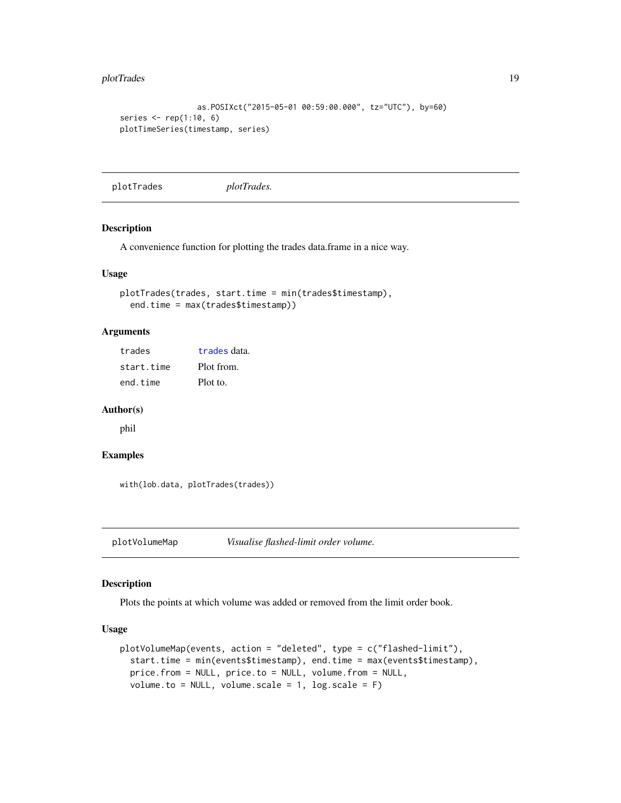#### <span id="page-18-0"></span>plotTrades 2002 and 2003 and 2003 and 2003 and 2003 and 2003 and 2003 and 2003 and 2003 and 2003 and 2003 and 2003 and 2003 and 2003 and 2003 and 2003 and 2003 and 2003 and 2003 and 2003 and 2003 and 2003 and 2003 and 2003

```
as.POSIXct("2015-05-01 00:59:00.000", tz="UTC"), by=60)
series \leq rep(1:10, 6)
plotTimeSeries(timestamp, series)
```
<span id="page-18-1"></span>plotTrades *plotTrades.*

## Description

A convenience function for plotting the trades data.frame in a nice way.

#### Usage

```
plotTrades(trades, start.time = min(trades$timestamp),
  end.time = max(trades$timestamp))
```
#### Arguments

[trades](#page-24-1) trades data. start.time Plot from. end.time Plot to.

#### Author(s)

phil

## Examples

with(lob.data, plotTrades(trades))

<span id="page-18-2"></span>plotVolumeMap *Visualise flashed-limit order volume.*

#### Description

Plots the points at which volume was added or removed from the limit order book.

## Usage

```
plotVolumeMap(events, action = "deleted", type = c("flashed-limit"),
  start.time = min(events$timestamp), end.time = max(events$timestamp),
 price.from = NULL, price.to = NULL, volume.from = NULL,
  volume.to = NULL, volume.scale = 1, log.scale = F)
```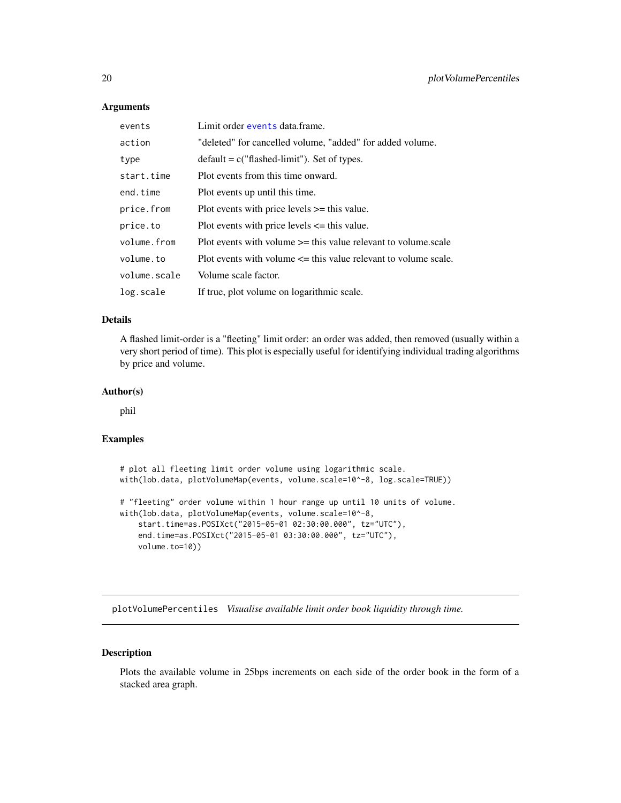#### Arguments

| events       | Limit order events data frame.                                      |
|--------------|---------------------------------------------------------------------|
| action       | "deleted" for cancelled volume, "added" for added volume.           |
| type         | $default = c("flashed-limit").$ Set of types.                       |
| start.time   | Plot events from this time onward.                                  |
| end.time     | Plot events up until this time.                                     |
| price.from   | Plot events with price levels $\ge$ this value.                     |
| price.to     | Plot events with price levels $\leq$ this value.                    |
| volume.from  | Plot events with volume $\ge$ = this value relevant to volume scale |
| volume.to    | Plot events with volume $\leq$ this value relevant to volume scale. |
| volume.scale | Volume scale factor.                                                |
| log.scale    | If true, plot volume on logarithmic scale.                          |

## Details

A flashed limit-order is a "fleeting" limit order: an order was added, then removed (usually within a very short period of time). This plot is especially useful for identifying individual trading algorithms by price and volume.

## Author(s)

phil

#### Examples

# plot all fleeting limit order volume using logarithmic scale. with(lob.data, plotVolumeMap(events, volume.scale=10^-8, log.scale=TRUE)) # "fleeting" order volume within 1 hour range up until 10 units of volume. with(lob.data, plotVolumeMap(events, volume.scale=10^-8,

```
start.time=as.POSIXct("2015-05-01 02:30:00.000", tz="UTC"),
end.time=as.POSIXct("2015-05-01 03:30:00.000", tz="UTC"),
volume.to=10))
```
<span id="page-19-1"></span>plotVolumePercentiles *Visualise available limit order book liquidity through time.*

## Description

Plots the available volume in 25bps increments on each side of the order book in the form of a stacked area graph.

<span id="page-19-0"></span>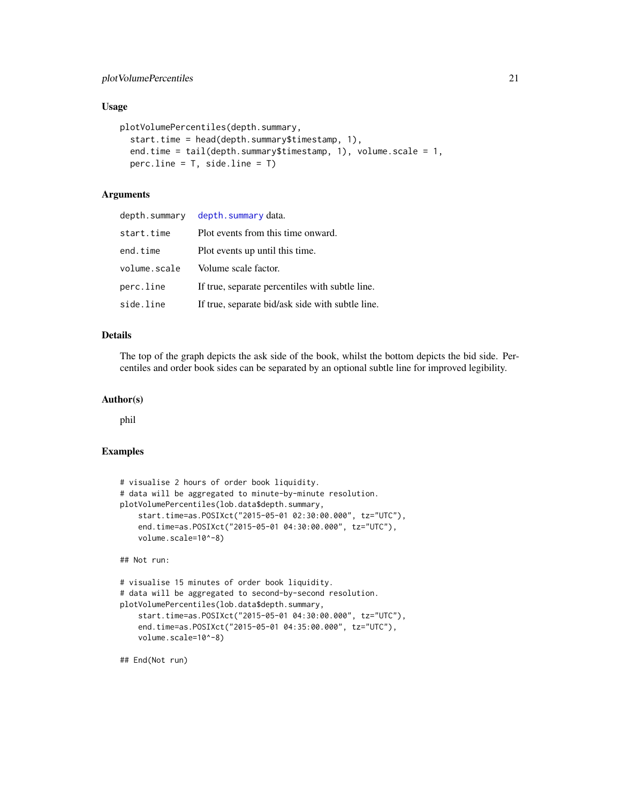#### <span id="page-20-0"></span>Usage

```
plotVolumePercentiles(depth.summary,
  start.time = head(depth.summary$timestamp, 1),
  end.time = tail(depth.summary$timestamp, 1), volume.scale = 1,
  percu.line = T, side.line = T)
```
## Arguments

| depth.summary | depth.summary data.                              |
|---------------|--------------------------------------------------|
| start.time    | Plot events from this time onward.               |
| end.time      | Plot events up until this time.                  |
| volume.scale  | Volume scale factor.                             |
| perc.line     | If true, separate percentiles with subtle line.  |
| side.line     | If true, separate bid/ask side with subtle line. |

## Details

The top of the graph depicts the ask side of the book, whilst the bottom depicts the bid side. Percentiles and order book sides can be separated by an optional subtle line for improved legibility.

## Author(s)

phil

#### Examples

```
# visualise 2 hours of order book liquidity.
# data will be aggregated to minute-by-minute resolution.
plotVolumePercentiles(lob.data$depth.summary,
   start.time=as.POSIXct("2015-05-01 02:30:00.000", tz="UTC"),
   end.time=as.POSIXct("2015-05-01 04:30:00.000", tz="UTC"),
   volume.scale=10^-8)
## Not run:
# visualise 15 minutes of order book liquidity.
# data will be aggregated to second-by-second resolution.
```

```
plotVolumePercentiles(lob.data$depth.summary,
    start.time=as.POSIXct("2015-05-01 04:30:00.000", tz="UTC"),
    end.time=as.POSIXct("2015-05-01 04:35:00.000", tz="UTC"),
    volume.scale=10^-8)
```
## End(Not run)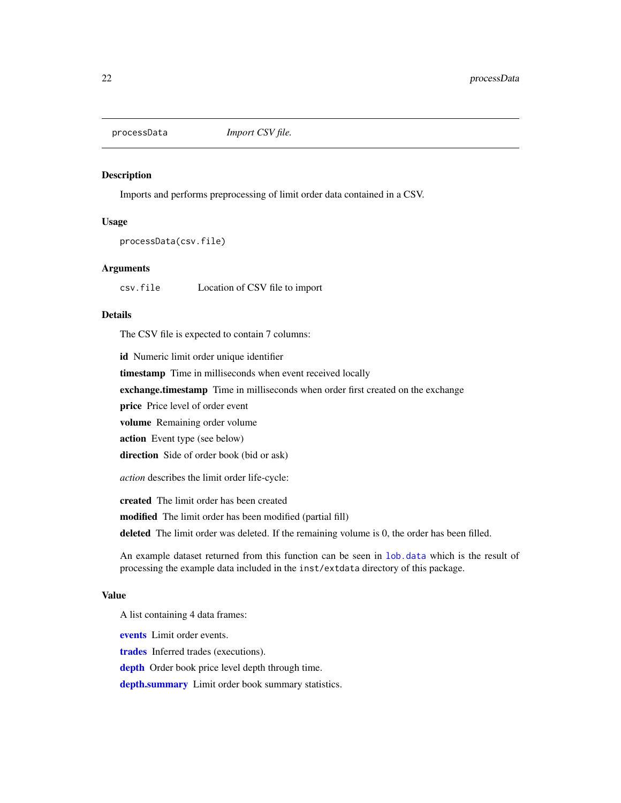<span id="page-21-1"></span><span id="page-21-0"></span>

#### Description

Imports and performs preprocessing of limit order data contained in a CSV.

#### Usage

processData(csv.file)

#### Arguments

csv.file Location of CSV file to import

#### Details

The CSV file is expected to contain 7 columns:

id Numeric limit order unique identifier

timestamp Time in milliseconds when event received locally

exchange.timestamp Time in milliseconds when order first created on the exchange

price Price level of order event

volume Remaining order volume

action Event type (see below)

direction Side of order book (bid or ask)

*action* describes the limit order life-cycle:

created The limit order has been created

modified The limit order has been modified (partial fill)

deleted The limit order was deleted. If the remaining volume is 0, the order has been filled.

An example dataset returned from this function can be seen in [lob.data](#page-10-1) which is the result of processing the example data included in the inst/extdata directory of this package.

#### Value

A list containing 4 data frames:

[events](#page-4-2) Limit order events.

[trades](#page-24-1) Inferred trades (executions).

[depth](#page-3-1) Order book price level depth through time.

[depth.summary](#page-4-1) Limit order book summary statistics.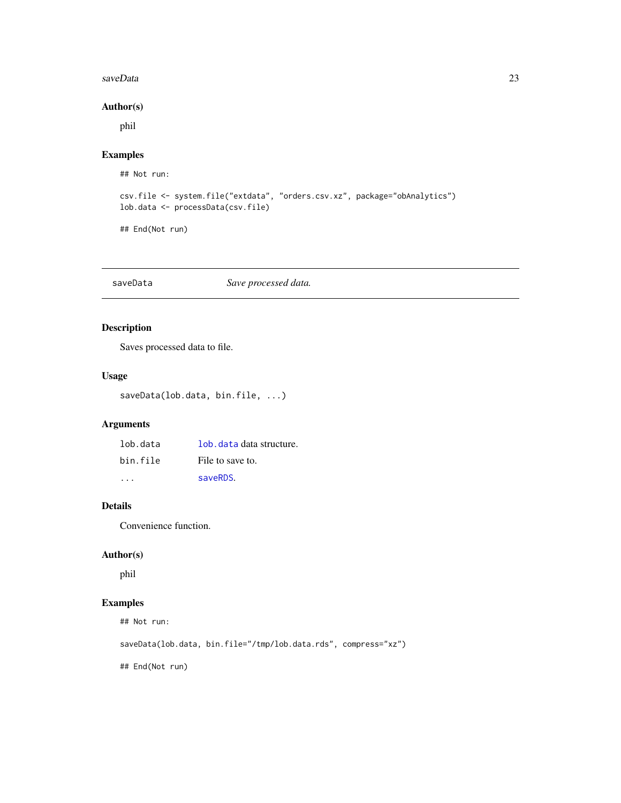#### <span id="page-22-0"></span>saveData 23

#### Author(s)

phil

## Examples

## Not run:

```
csv.file <- system.file("extdata", "orders.csv.xz", package="obAnalytics")
lob.data <- processData(csv.file)
```
## End(Not run)

#### saveData *Save processed data.*

## Description

Saves processed data to file.

## Usage

saveData(lob.data, bin.file, ...)

## Arguments

| lob.data | lob, data data structure. |
|----------|---------------------------|
| bin file | File to save to.          |
|          | saveRDS.                  |

## Details

Convenience function.

## Author(s)

phil

## Examples

## Not run:

saveData(lob.data, bin.file="/tmp/lob.data.rds", compress="xz")

## End(Not run)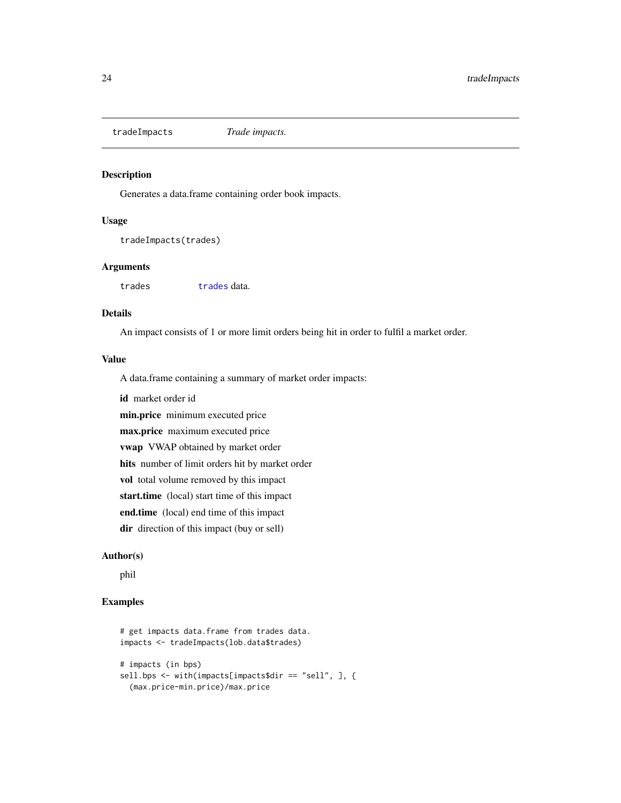<span id="page-23-1"></span><span id="page-23-0"></span>tradeImpacts *Trade impacts.*

## Description

Generates a data.frame containing order book impacts.

#### Usage

tradeImpacts(trades)

## Arguments

[trades](#page-24-1) trades data.

## Details

An impact consists of 1 or more limit orders being hit in order to fulfil a market order.

### Value

A data.frame containing a summary of market order impacts:

id market order id

min.price minimum executed price

max.price maximum executed price

vwap VWAP obtained by market order

hits number of limit orders hit by market order

vol total volume removed by this impact

start.time (local) start time of this impact

end.time (local) end time of this impact

dir direction of this impact (buy or sell)

#### Author(s)

phil

## Examples

```
# get impacts data.frame from trades data.
impacts <- tradeImpacts(lob.data$trades)
# impacts (in bps)
sell.bps <- with(impacts[impacts$dir == "sell", ], {
  (max.price-min.price)/max.price
```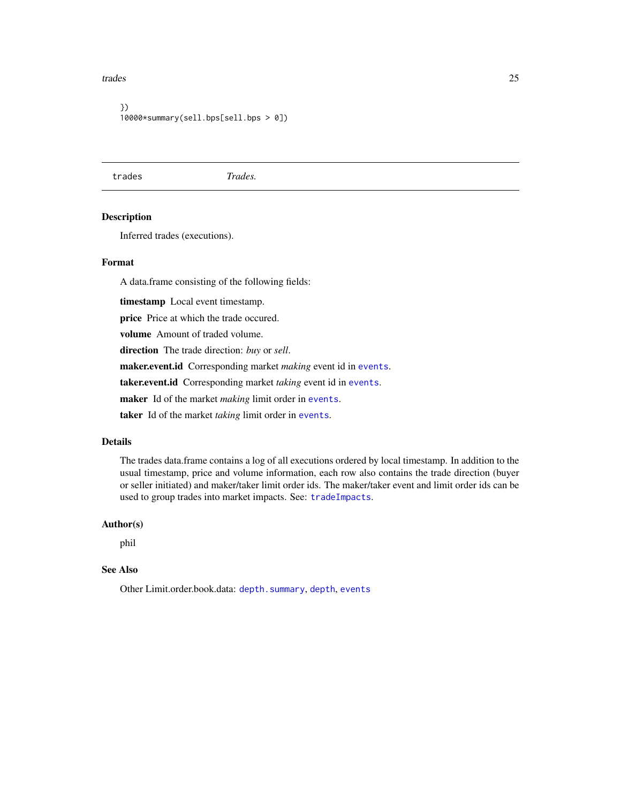#### <span id="page-24-0"></span>trades 25

```
})
10000*summary(sell.bps[sell.bps > 0])
```
<span id="page-24-1"></span>trades *Trades.*

## Description

Inferred trades (executions).

## Format

A data.frame consisting of the following fields:

timestamp Local event timestamp.

price Price at which the trade occured.

volume Amount of traded volume.

direction The trade direction: *buy* or *sell*.

maker.event.id Corresponding market *making* event id in [events](#page-4-2).

taker.event.id Corresponding market *taking* event id in [events](#page-4-2).

maker Id of the market *making* limit order in [events](#page-4-2).

taker Id of the market *taking* limit order in [events](#page-4-2).

#### Details

The trades data.frame contains a log of all executions ordered by local timestamp. In addition to the usual timestamp, price and volume information, each row also contains the trade direction (buyer or seller initiated) and maker/taker limit order ids. The maker/taker event and limit order ids can be used to group trades into market impacts. See: [tradeImpacts](#page-23-1).

#### Author(s)

phil

#### See Also

Other Limit.order.book.data: [depth.summary](#page-4-1), [depth](#page-3-1), [events](#page-4-2)